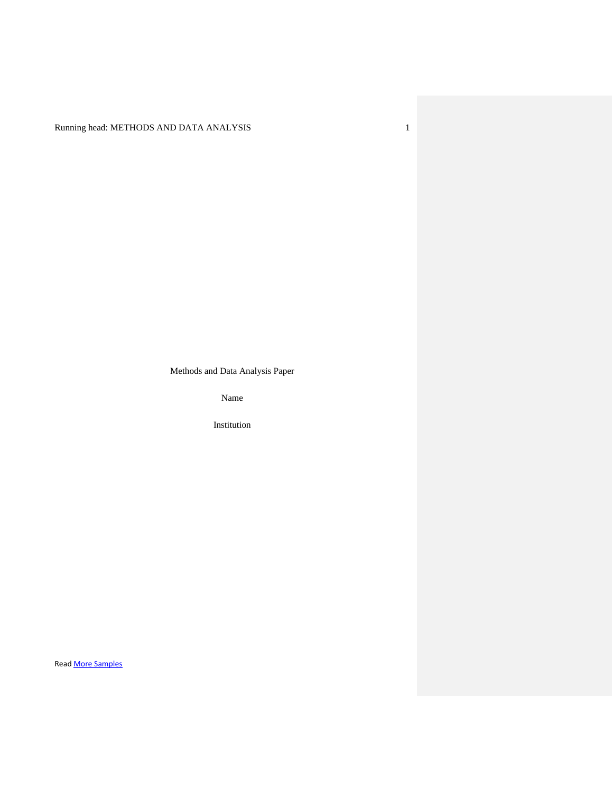Running head: METHODS AND DATA ANALYSIS 1

Methods and Data Analysis Paper

Name

Institution

Read [More Samples](https://www.nursingessaywriters.co.uk/samples/all)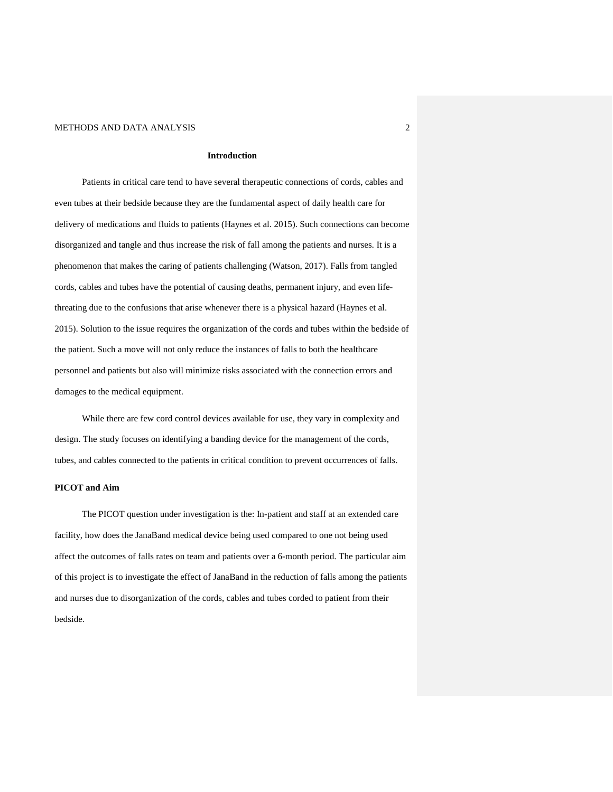#### **Introduction**

Patients in critical care tend to have several therapeutic connections of cords, cables and even tubes at their bedside because they are the fundamental aspect of daily health care for delivery of medications and fluids to patients (Haynes et al. 2015). Such connections can become disorganized and tangle and thus increase the risk of fall among the patients and nurses. It is a phenomenon that makes the caring of patients challenging (Watson, 2017). Falls from tangled cords, cables and tubes have the potential of causing deaths, permanent injury, and even lifethreating due to the confusions that arise whenever there is a physical hazard (Haynes et al. 2015). Solution to the issue requires the organization of the cords and tubes within the bedside of the patient. Such a move will not only reduce the instances of falls to both the healthcare personnel and patients but also will minimize risks associated with the connection errors and damages to the medical equipment.

While there are few cord control devices available for use, they vary in complexity and design. The study focuses on identifying a banding device for the management of the cords, tubes, and cables connected to the patients in critical condition to prevent occurrences of falls.

## **PICOT and Aim**

The PICOT question under investigation is the: In-patient and staff at an extended care facility, how does the JanaBand medical device being used compared to one not being used affect the outcomes of falls rates on team and patients over a 6-month period. The particular aim of this project is to investigate the effect of JanaBand in the reduction of falls among the patients and nurses due to disorganization of the cords, cables and tubes corded to patient from their bedside.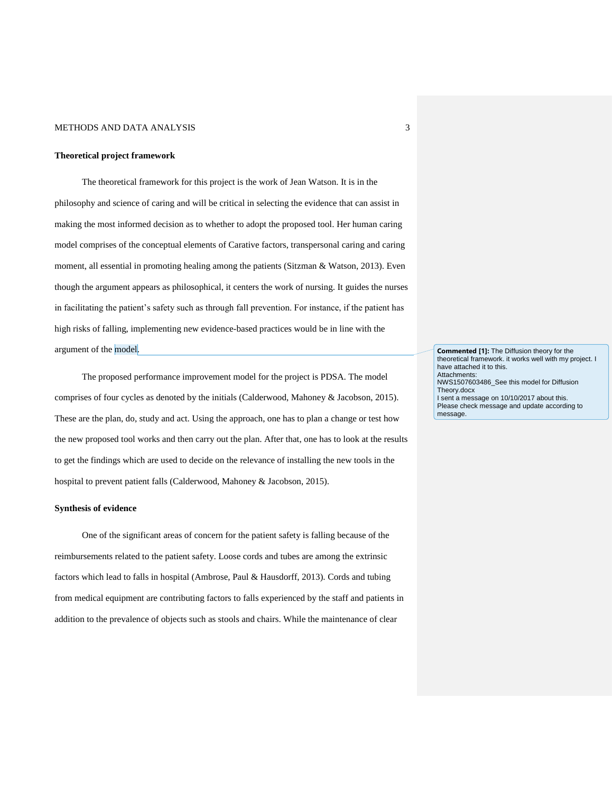#### **Theoretical project framework**

The theoretical framework for this project is the work of Jean Watson. It is in the philosophy and science of caring and will be critical in selecting the evidence that can assist in making the most informed decision as to whether to adopt the proposed tool. Her human caring model comprises of the conceptual elements of Carative factors, transpersonal caring and caring moment, all essential in promoting healing among the patients (Sitzman & Watson, 2013). Even though the argument appears as philosophical, it centers the work of nursing. It guides the nurses in facilitating the patient's safety such as through fall prevention. For instance, if the patient has high risks of falling, implementing new evidence-based practices would be in line with the argument of the model.

The proposed performance improvement model for the project is PDSA. The model comprises of four cycles as denoted by the initials (Calderwood, Mahoney & Jacobson, 2015). These are the plan, do, study and act. Using the approach, one has to plan a change or test how the new proposed tool works and then carry out the plan. After that, one has to look at the results to get the findings which are used to decide on the relevance of installing the new tools in the hospital to prevent patient falls (Calderwood, Mahoney & Jacobson, 2015).

#### **Synthesis of evidence**

One of the significant areas of concern for the patient safety is falling because of the reimbursements related to the patient safety. Loose cords and tubes are among the extrinsic factors which lead to falls in hospital (Ambrose, Paul & Hausdorff, 2013). Cords and tubing from medical equipment are contributing factors to falls experienced by the staff and patients in addition to the prevalence of objects such as stools and chairs. While the maintenance of clear

**Commented [1]:** The Diffusion theory for the theoretical framework. it works well with my project. I have attached it to this. Attachments: NWS1507603486\_See this model for Diffusion Theory.docx I sent a message on 10/10/2017 about this. Please check message and update according to message.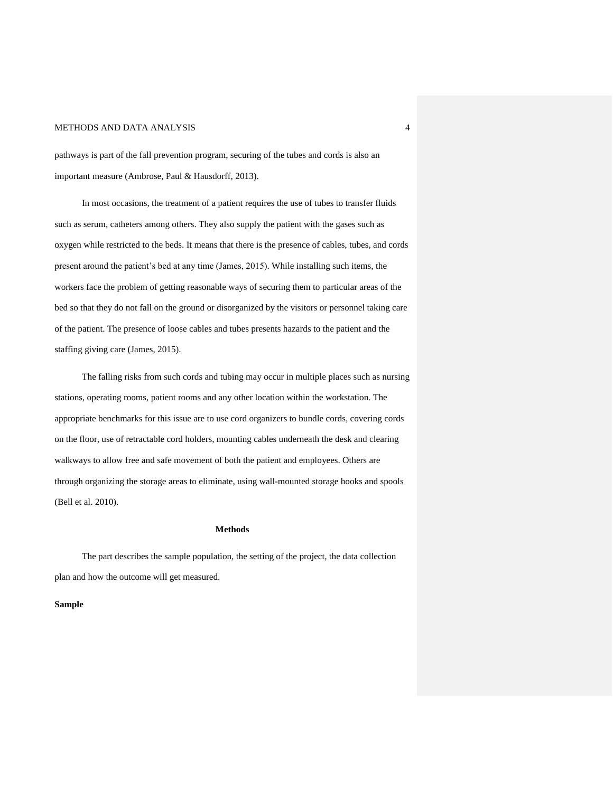pathways is part of the fall prevention program, securing of the tubes and cords is also an important measure (Ambrose, Paul & Hausdorff, 2013).

In most occasions, the treatment of a patient requires the use of tubes to transfer fluids such as serum, catheters among others. They also supply the patient with the gases such as oxygen while restricted to the beds. It means that there is the presence of cables, tubes, and cords present around the patient's bed at any time (James, 2015). While installing such items, the workers face the problem of getting reasonable ways of securing them to particular areas of the bed so that they do not fall on the ground or disorganized by the visitors or personnel taking care of the patient. The presence of loose cables and tubes presents hazards to the patient and the staffing giving care (James, 2015).

The falling risks from such cords and tubing may occur in multiple places such as nursing stations, operating rooms, patient rooms and any other location within the workstation. The appropriate benchmarks for this issue are to use cord organizers to bundle cords, covering cords on the floor, use of retractable cord holders, mounting cables underneath the desk and clearing walkways to allow free and safe movement of both the patient and employees. Others are through organizing the storage areas to eliminate, using wall-mounted storage hooks and spools (Bell et al. 2010).

### **Methods**

The part describes the sample population, the setting of the project, the data collection plan and how the outcome will get measured.

### **Sample**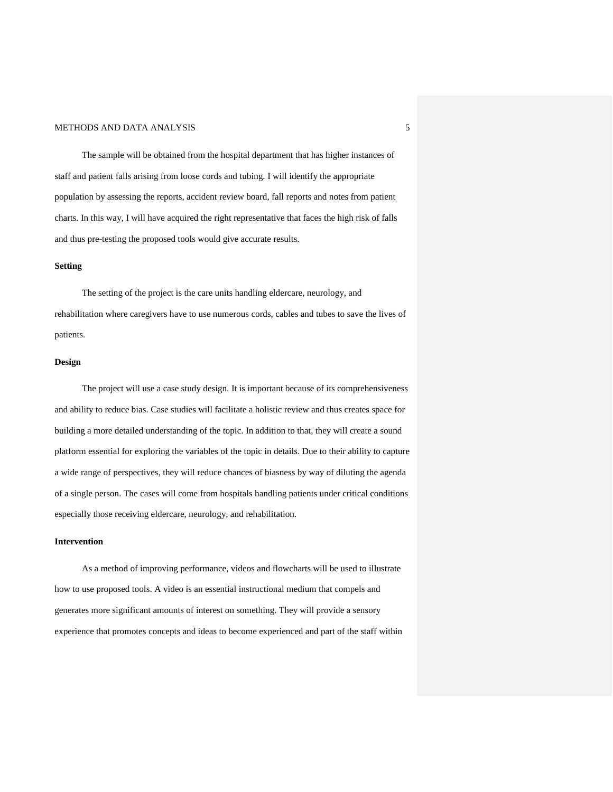The sample will be obtained from the hospital department that has higher instances of staff and patient falls arising from loose cords and tubing. I will identify the appropriate population by assessing the reports, accident review board, fall reports and notes from patient charts. In this way, I will have acquired the right representative that faces the high risk of falls and thus pre-testing the proposed tools would give accurate results.

### **Setting**

The setting of the project is the care units handling eldercare, neurology, and rehabilitation where caregivers have to use numerous cords, cables and tubes to save the lives of patients.

# **Design**

The project will use a case study design. It is important because of its comprehensiveness and ability to reduce bias. Case studies will facilitate a holistic review and thus creates space for building a more detailed understanding of the topic. In addition to that, they will create a sound platform essential for exploring the variables of the topic in details. Due to their ability to capture a wide range of perspectives, they will reduce chances of biasness by way of diluting the agenda of a single person. The cases will come from hospitals handling patients under critical conditions especially those receiving eldercare, neurology, and rehabilitation.

### **Intervention**

As a method of improving performance, videos and flowcharts will be used to illustrate how to use proposed tools. A video is an essential instructional medium that compels and generates more significant amounts of interest on something. They will provide a sensory experience that promotes concepts and ideas to become experienced and part of the staff within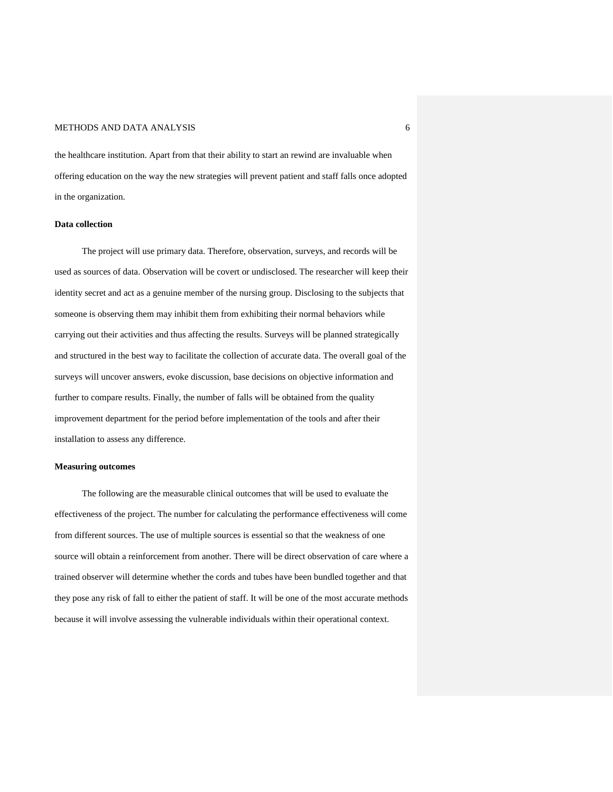the healthcare institution. Apart from that their ability to start an rewind are invaluable when offering education on the way the new strategies will prevent patient and staff falls once adopted in the organization.

## **Data collection**

The project will use primary data. Therefore, observation, surveys, and records will be used as sources of data. Observation will be covert or undisclosed. The researcher will keep their identity secret and act as a genuine member of the nursing group. Disclosing to the subjects that someone is observing them may inhibit them from exhibiting their normal behaviors while carrying out their activities and thus affecting the results. Surveys will be planned strategically and structured in the best way to facilitate the collection of accurate data. The overall goal of the surveys will uncover answers, evoke discussion, base decisions on objective information and further to compare results. Finally, the number of falls will be obtained from the quality improvement department for the period before implementation of the tools and after their installation to assess any difference.

## **Measuring outcomes**

The following are the measurable clinical outcomes that will be used to evaluate the effectiveness of the project. The number for calculating the performance effectiveness will come from different sources. The use of multiple sources is essential so that the weakness of one source will obtain a reinforcement from another. There will be direct observation of care where a trained observer will determine whether the cords and tubes have been bundled together and that they pose any risk of fall to either the patient of staff. It will be one of the most accurate methods because it will involve assessing the vulnerable individuals within their operational context.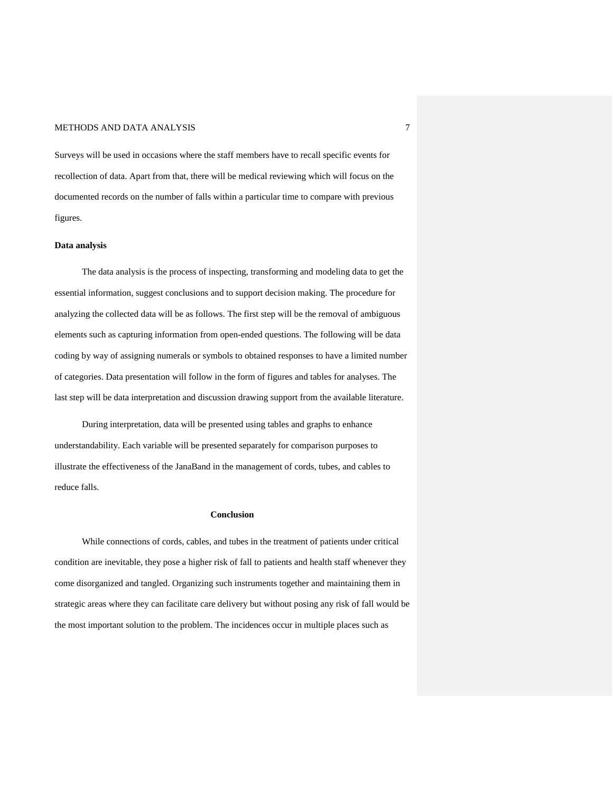Surveys will be used in occasions where the staff members have to recall specific events for recollection of data. Apart from that, there will be medical reviewing which will focus on the documented records on the number of falls within a particular time to compare with previous figures.

#### **Data analysis**

The data analysis is the process of inspecting, transforming and modeling data to get the essential information, suggest conclusions and to support decision making. The procedure for analyzing the collected data will be as follows. The first step will be the removal of ambiguous elements such as capturing information from open-ended questions. The following will be data coding by way of assigning numerals or symbols to obtained responses to have a limited number of categories. Data presentation will follow in the form of figures and tables for analyses. The last step will be data interpretation and discussion drawing support from the available literature.

During interpretation, data will be presented using tables and graphs to enhance understandability. Each variable will be presented separately for comparison purposes to illustrate the effectiveness of the JanaBand in the management of cords, tubes, and cables to reduce falls.

#### **Conclusion**

While connections of cords, cables, and tubes in the treatment of patients under critical condition are inevitable, they pose a higher risk of fall to patients and health staff whenever they come disorganized and tangled. Organizing such instruments together and maintaining them in strategic areas where they can facilitate care delivery but without posing any risk of fall would be the most important solution to the problem. The incidences occur in multiple places such as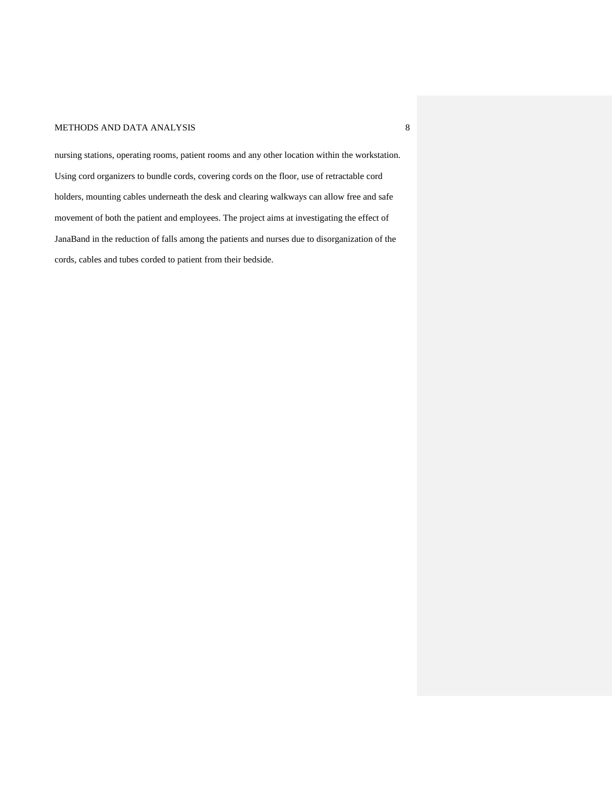nursing stations, operating rooms, patient rooms and any other location within the workstation. Using cord organizers to bundle cords, covering cords on the floor, use of retractable cord holders, mounting cables underneath the desk and clearing walkways can allow free and safe movement of both the patient and employees. The project aims at investigating the effect of JanaBand in the reduction of falls among the patients and nurses due to disorganization of the cords, cables and tubes corded to patient from their bedside.